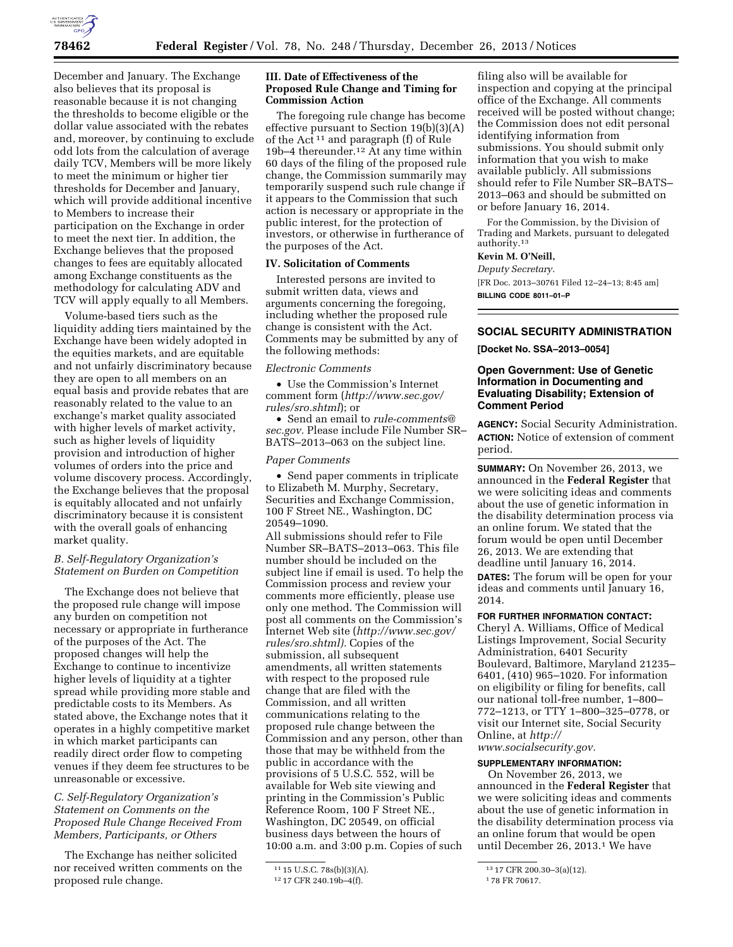

December and January. The Exchange also believes that its proposal is reasonable because it is not changing the thresholds to become eligible or the dollar value associated with the rebates and, moreover, by continuing to exclude odd lots from the calculation of average daily TCV, Members will be more likely to meet the minimum or higher tier thresholds for December and January, which will provide additional incentive to Members to increase their participation on the Exchange in order to meet the next tier. In addition, the Exchange believes that the proposed changes to fees are equitably allocated among Exchange constituents as the methodology for calculating ADV and TCV will apply equally to all Members.

Volume-based tiers such as the liquidity adding tiers maintained by the Exchange have been widely adopted in the equities markets, and are equitable and not unfairly discriminatory because they are open to all members on an equal basis and provide rebates that are reasonably related to the value to an exchange's market quality associated with higher levels of market activity, such as higher levels of liquidity provision and introduction of higher volumes of orders into the price and volume discovery process. Accordingly, the Exchange believes that the proposal is equitably allocated and not unfairly discriminatory because it is consistent with the overall goals of enhancing market quality.

## *B. Self-Regulatory Organization's Statement on Burden on Competition*

The Exchange does not believe that the proposed rule change will impose any burden on competition not necessary or appropriate in furtherance of the purposes of the Act. The proposed changes will help the Exchange to continue to incentivize higher levels of liquidity at a tighter spread while providing more stable and predictable costs to its Members. As stated above, the Exchange notes that it operates in a highly competitive market in which market participants can readily direct order flow to competing venues if they deem fee structures to be unreasonable or excessive.

# *C. Self-Regulatory Organization's Statement on Comments on the Proposed Rule Change Received From Members, Participants, or Others*

The Exchange has neither solicited nor received written comments on the proposed rule change.

#### **III. Date of Effectiveness of the Proposed Rule Change and Timing for Commission Action**

The foregoing rule change has become effective pursuant to Section 19(b)(3)(A) of the Act <sup>11</sup> and paragraph (f) of Rule 19b–4 thereunder.12 At any time within 60 days of the filing of the proposed rule change, the Commission summarily may temporarily suspend such rule change if it appears to the Commission that such action is necessary or appropriate in the public interest, for the protection of investors, or otherwise in furtherance of the purposes of the Act.

## **IV. Solicitation of Comments**

Interested persons are invited to submit written data, views and arguments concerning the foregoing, including whether the proposed rule change is consistent with the Act. Comments may be submitted by any of the following methods:

## *Electronic Comments*

• Use the Commission's Internet comment form (*[http://www.sec.gov/](http://www.sec.gov/rules/sro.shtml) [rules/sro.shtml](http://www.sec.gov/rules/sro.shtml)*); or

• Send an email to *[rule-comments@](mailto:rule-comments@sec.gov) [sec.gov.](mailto:rule-comments@sec.gov)* Please include File Number SR– BATS–2013–063 on the subject line.

### *Paper Comments*

• Send paper comments in triplicate to Elizabeth M. Murphy, Secretary, Securities and Exchange Commission, 100 F Street NE., Washington, DC 20549–1090.

All submissions should refer to File Number SR–BATS–2013–063. This file number should be included on the subject line if email is used. To help the Commission process and review your comments more efficiently, please use only one method. The Commission will post all comments on the Commission's Internet Web site (*[http://www.sec.gov/](http://www.sec.gov/rules/sro.shtml) [rules/sro.shtml\).](http://www.sec.gov/rules/sro.shtml)* Copies of the submission, all subsequent amendments, all written statements with respect to the proposed rule change that are filed with the Commission, and all written communications relating to the proposed rule change between the Commission and any person, other than those that may be withheld from the public in accordance with the provisions of 5 U.S.C. 552, will be available for Web site viewing and printing in the Commission's Public Reference Room, 100 F Street NE., Washington, DC 20549, on official business days between the hours of 10:00 a.m. and 3:00 p.m. Copies of such

filing also will be available for inspection and copying at the principal office of the Exchange. All comments received will be posted without change; the Commission does not edit personal identifying information from submissions. You should submit only information that you wish to make available publicly. All submissions should refer to File Number SR–BATS– 2013–063 and should be submitted on or before January 16, 2014.

For the Commission, by the Division of Trading and Markets, pursuant to delegated authority.13

# **Kevin M. O'Neill,**

*Deputy Secretary.*  [FR Doc. 2013–30761 Filed 12–24–13; 8:45 am] **BILLING CODE 8011–01–P** 

# **SOCIAL SECURITY ADMINISTRATION**

**[Docket No. SSA–2013–0054]** 

#### **Open Government: Use of Genetic Information in Documenting and Evaluating Disability; Extension of Comment Period**

**AGENCY:** Social Security Administration. **ACTION:** Notice of extension of comment period.

**SUMMARY:** On November 26, 2013, we announced in the **Federal Register** that we were soliciting ideas and comments about the use of genetic information in the disability determination process via an online forum. We stated that the forum would be open until December 26, 2013. We are extending that deadline until January 16, 2014. **DATES:** The forum will be open for your ideas and comments until January 16, 2014.

## **FOR FURTHER INFORMATION CONTACT:**

Cheryl A. Williams, Office of Medical Listings Improvement, Social Security Administration, 6401 Security Boulevard, Baltimore, Maryland 21235– 6401, (410) 965–1020. For information on eligibility or filing for benefits, call our national toll-free number, 1–800– 772–1213, or TTY 1–800–325–0778, or visit our Internet site, Social Security Online, at *[http://](http://www.socialsecurity.gov) [www.socialsecurity.gov.](http://www.socialsecurity.gov)* 

# **SUPPLEMENTARY INFORMATION:**

On November 26, 2013, we announced in the **Federal Register** that we were soliciting ideas and comments about the use of genetic information in the disability determination process via an online forum that would be open until December 26, 2013.1 We have

<sup>11</sup> 15 U.S.C. 78s(b)(3)(A).

<sup>12</sup> 17 CFR 240.19b–4(f).

<sup>13</sup> 17 CFR 200.30–3(a)(12).

<sup>1</sup> 78 FR 70617.